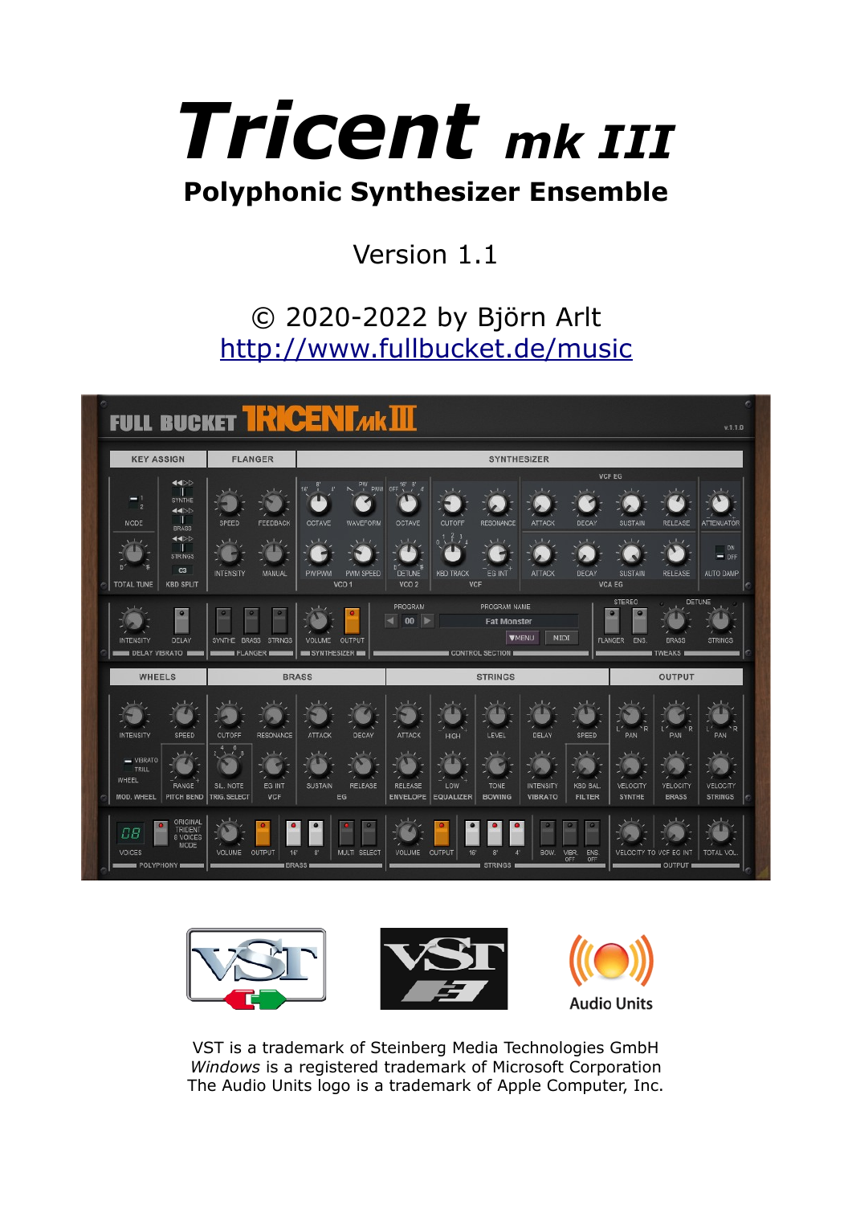# *Tricent mk III* **Polyphonic Synthesizer Ensemble**

# Version 1.1

# © 2020-2022 by Björn Arlt <http://www.fullbucket.de/music>





VST is a trademark of Steinberg Media Technologies GmbH *Windows* is a registered trademark of Microsoft Corporation The Audio Units logo is a trademark of Apple Computer, Inc.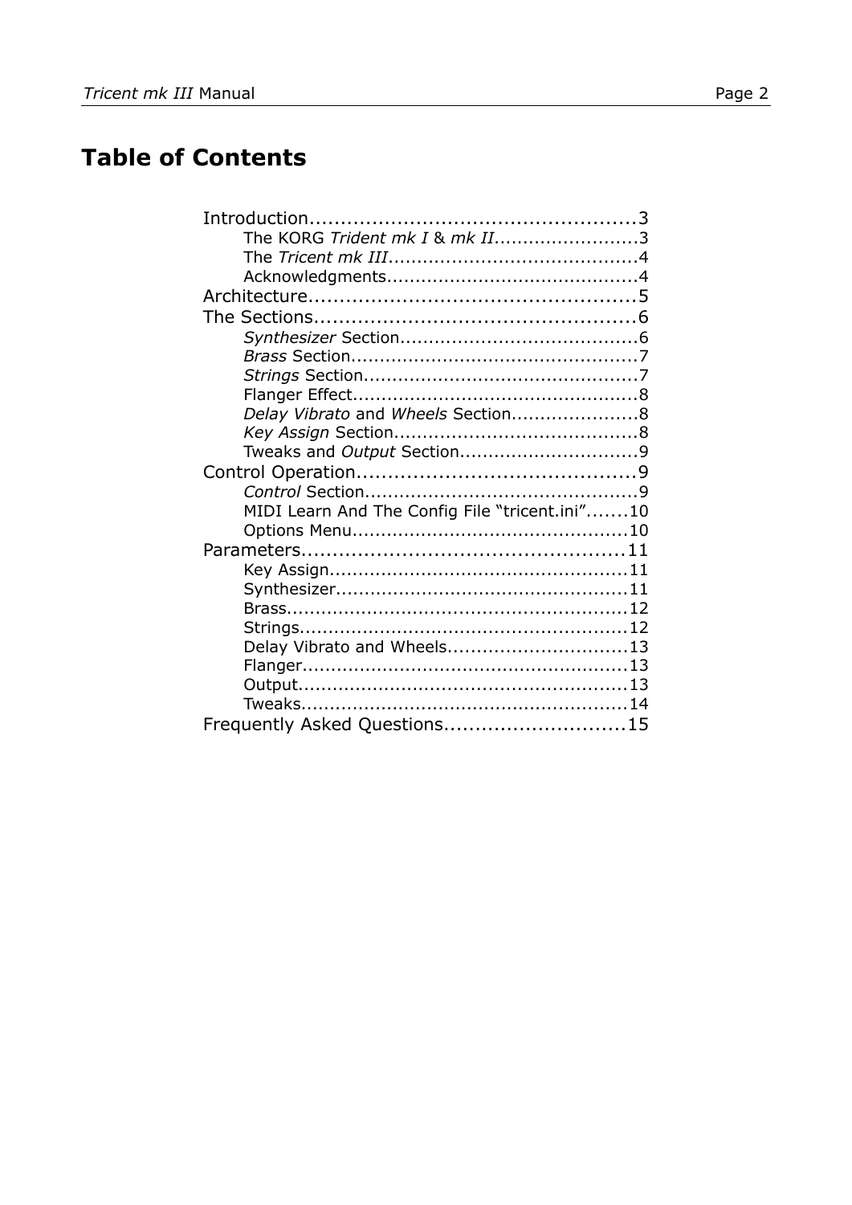# **Table of Contents**

| The KORG Trident mk I & mk II3                 |  |
|------------------------------------------------|--|
|                                                |  |
|                                                |  |
|                                                |  |
|                                                |  |
|                                                |  |
|                                                |  |
|                                                |  |
|                                                |  |
| Delay Vibrato and Wheels Section8              |  |
|                                                |  |
|                                                |  |
|                                                |  |
|                                                |  |
| MIDI Learn And The Config File "tricent.ini"10 |  |
|                                                |  |
|                                                |  |
|                                                |  |
|                                                |  |
|                                                |  |
|                                                |  |
| Delay Vibrato and Wheels13                     |  |
|                                                |  |
|                                                |  |
|                                                |  |
| Frequently Asked Questions15                   |  |
|                                                |  |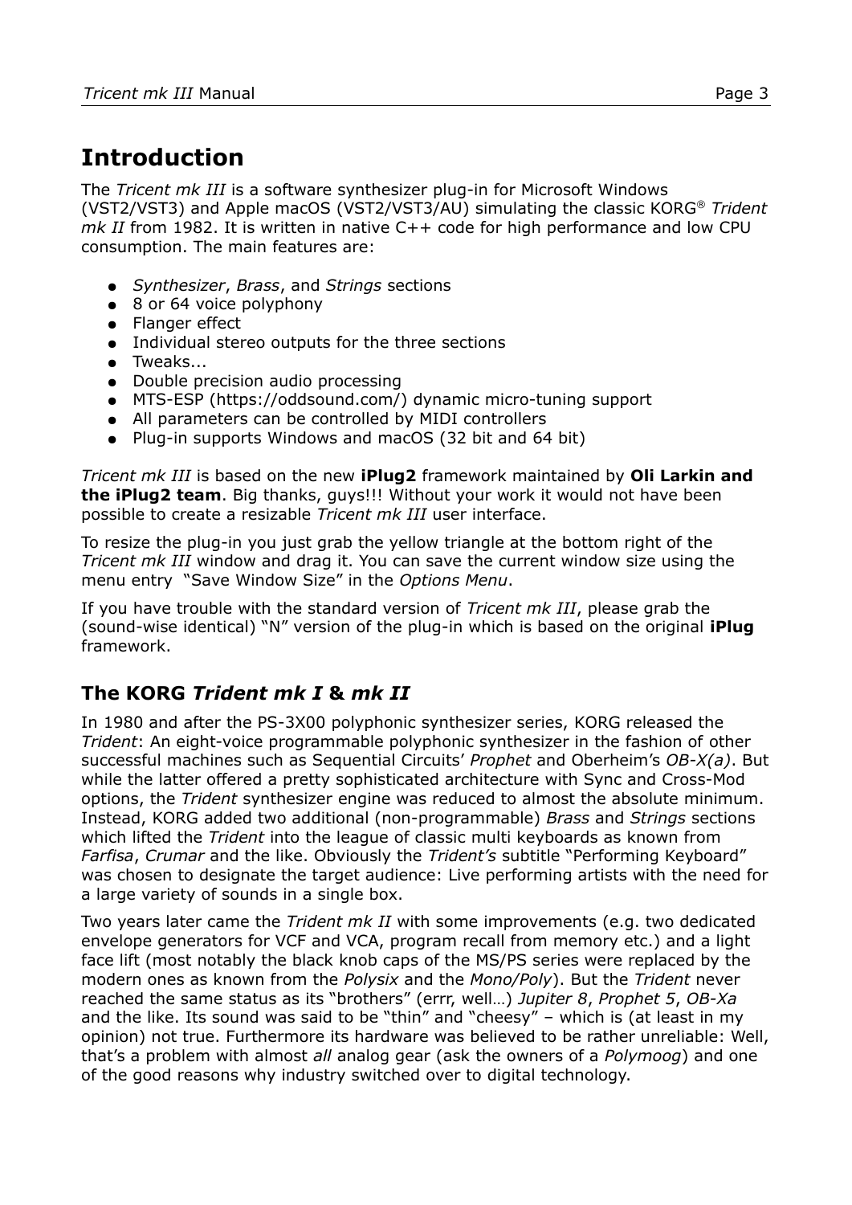# **Introduction**

The *Tricent mk III* is a software synthesizer plug-in for Microsoft Windows (VST2/VST3) and Apple macOS (VST2/VST3/AU) simulating the classic KORG® *Trident mk II* from 1982. It is written in native C++ code for high performance and low CPU consumption. The main features are:

- *Synthesizer*, *Brass*, and *Strings* sections
- 8 or 64 voice polyphony
- Flanger effect
- Individual stereo outputs for the three sections
- Tweaks...
- Double precision audio processing
- MTS-ESP (https://oddsound.com/) dynamic micro-tuning support
- All parameters can be controlled by MIDI controllers
- Plug-in supports Windows and macOS (32 bit and 64 bit)

*Tricent mk III* is based on the new **iPlug2** framework maintained by **Oli Larkin and the iPlug2 team**. Big thanks, guys!!! Without your work it would not have been possible to create a resizable *Tricent mk III* user interface.

To resize the plug-in you just grab the yellow triangle at the bottom right of the *Tricent mk III* window and drag it. You can save the current window size using the menu entry "Save Window Size" in the *[Options Menu](#page-9-0)*.

If you have trouble with the standard version of *Tricent mk III*, please grab the (sound-wise identical) "N" version of the plug-in which is based on the original **iPlug** framework.

#### **The KORG** *Trident mk I* **&** *mk II*

In 1980 and after the PS-3X00 polyphonic synthesizer series, KORG released the *Trident*: An eight-voice programmable polyphonic synthesizer in the fashion of other successful machines such as Sequential Circuits' *Prophet* and Oberheim's *OB-X(a)*. But while the latter offered a pretty sophisticated architecture with Sync and Cross-Mod options, the *Trident* synthesizer engine was reduced to almost the absolute minimum. Instead, KORG added two additional (non-programmable) *Brass* and *Strings* sections which lifted the *Trident* into the league of classic multi keyboards as known from *Farfisa*, *Crumar* and the like. Obviously the *Trident's* subtitle "Performing Keyboard" was chosen to designate the target audience: Live performing artists with the need for a large variety of sounds in a single box.

Two years later came the *Trident mk II* with some improvements (e.g. two dedicated envelope generators for VCF and VCA, program recall from memory etc.) and a light face lift (most notably the black knob caps of the MS/PS series were replaced by the modern ones as known from the *Polysix* and the *Mono/Poly*). But the *Trident* never reached the same status as its "brothers" (errr, well…) *Jupiter 8*, *Prophet 5*, *OB-Xa* and the like. Its sound was said to be "thin" and "cheesy"  $-$  which is (at least in my opinion) not true. Furthermore its hardware was believed to be rather unreliable: Well, that's a problem with almost *all* analog gear (ask the owners of a *Polymoog*) and one of the good reasons why industry switched over to digital technology.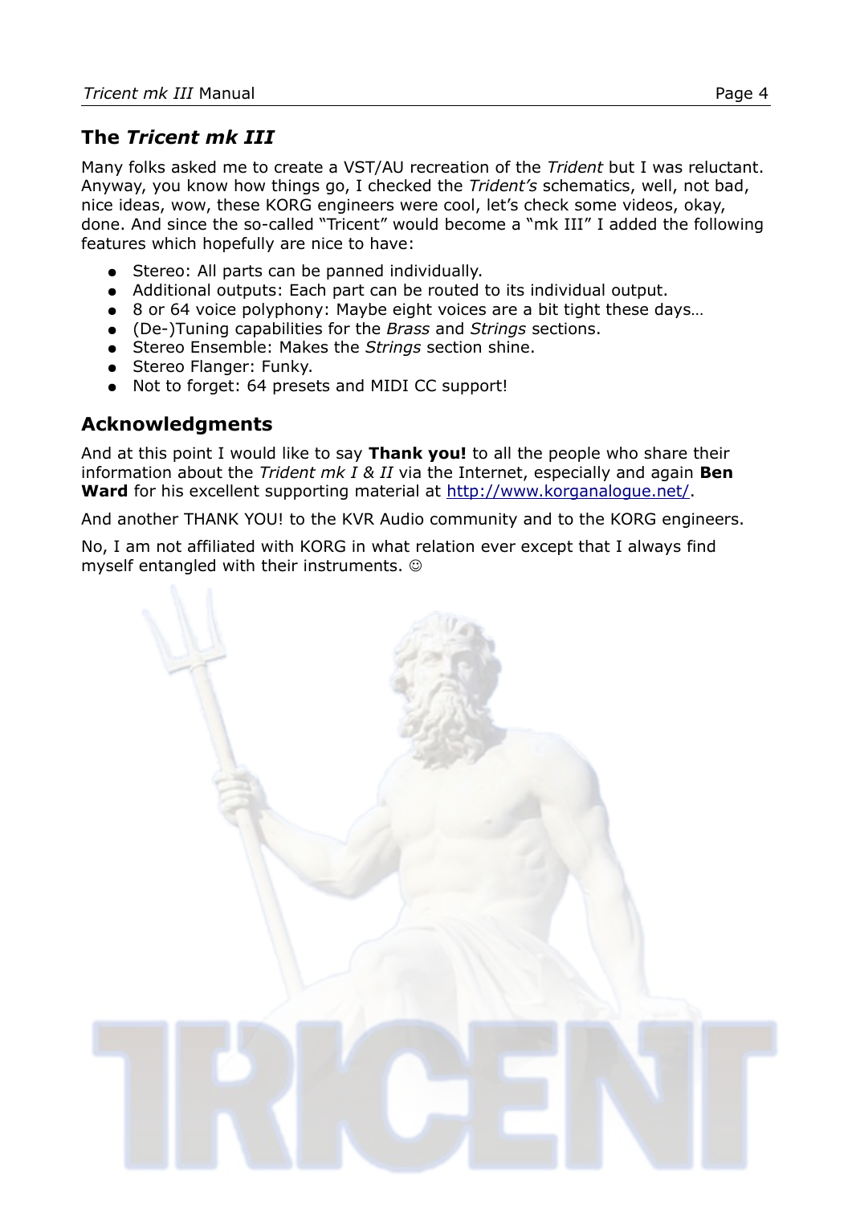#### **The** *Tricent mk III*

Many folks asked me to create a VST/AU recreation of the *Trident* but I was reluctant. Anyway, you know how things go, I checked the *Trident's* schematics, well, not bad, nice ideas, wow, these KORG engineers were cool, let's check some videos, okay, done. And since the so-called "Tricent" would become a "mk III" I added the following features which hopefully are nice to have:

- Stereo: All parts can be panned individually.
- Additional outputs: Each part can be routed to its individual output.
- 8 or 64 voice polyphony: Maybe eight voices are a bit tight these days...
- (De-)Tuning capabilities for the *Brass* and *Strings* sections.
- Stereo Ensemble: Makes the *Strings* section shine.
- Stereo Flanger: Funky.
- Not to forget: 64 presets and MIDI CC support!

#### **Acknowledgments**

And at this point I would like to say **Thank you!** to all the people who share their information about the *Trident mk I & II* via the Internet, especially and again **Ben**  Ward for his excellent supporting material at<http://www.korganalogue.net/>.

And another THANK YOU! to the KVR Audio community and to the KORG engineers.

No, I am not affiliated with KORG in what relation ever except that I always find myself entangled with their instruments.

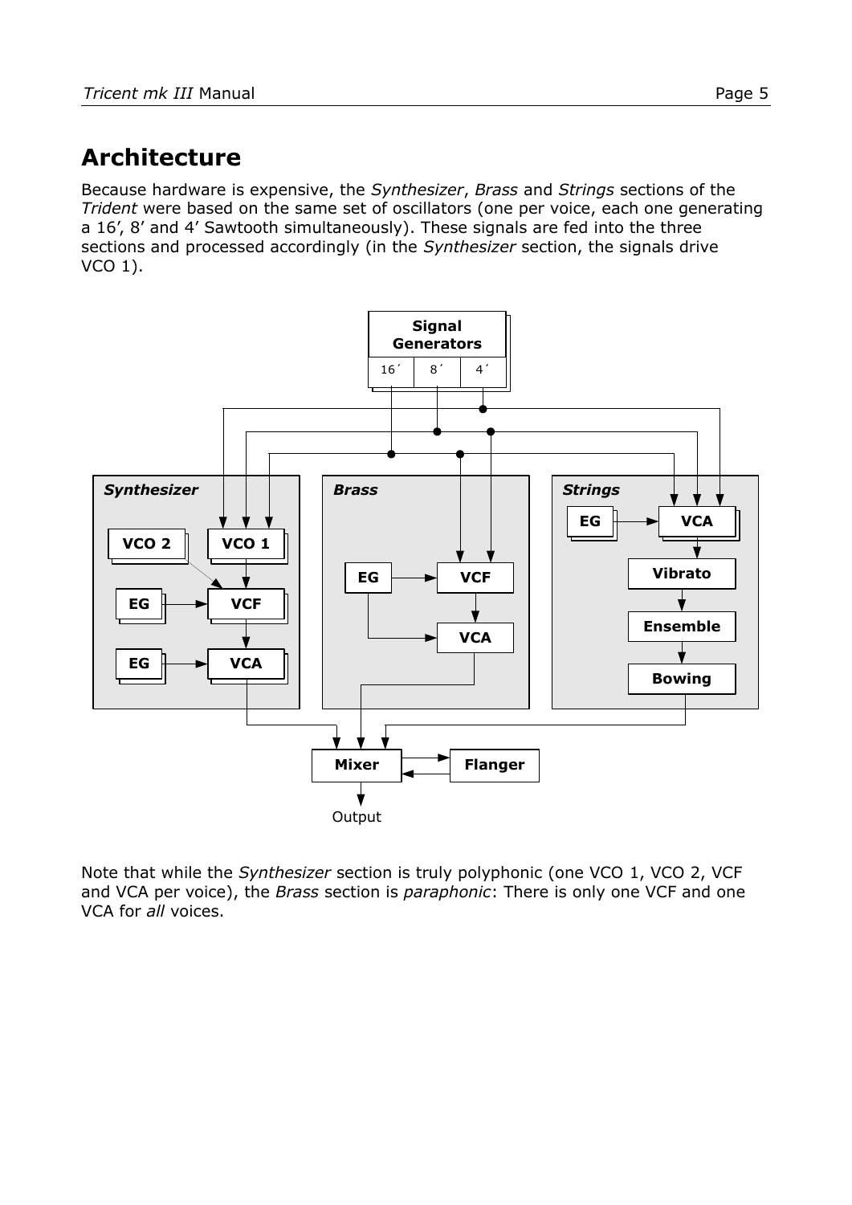# <span id="page-4-0"></span>**Architecture**

Because hardware is expensive, the *Synthesizer*, *Brass* and *Strings* sections of the *Trident* were based on the same set of oscillators (one per voice, each one generating a 16', 8' and 4' Sawtooth simultaneously). These signals are fed into the three sections and processed accordingly (in the *Synthesizer* section, the signals drive VCO 1).



Note that while the *Synthesizer* section is truly polyphonic (one VCO 1, VCO 2, VCF and VCA per voice), the *Brass* section is *paraphonic*: There is only one VCF and one VCA for *all* voices.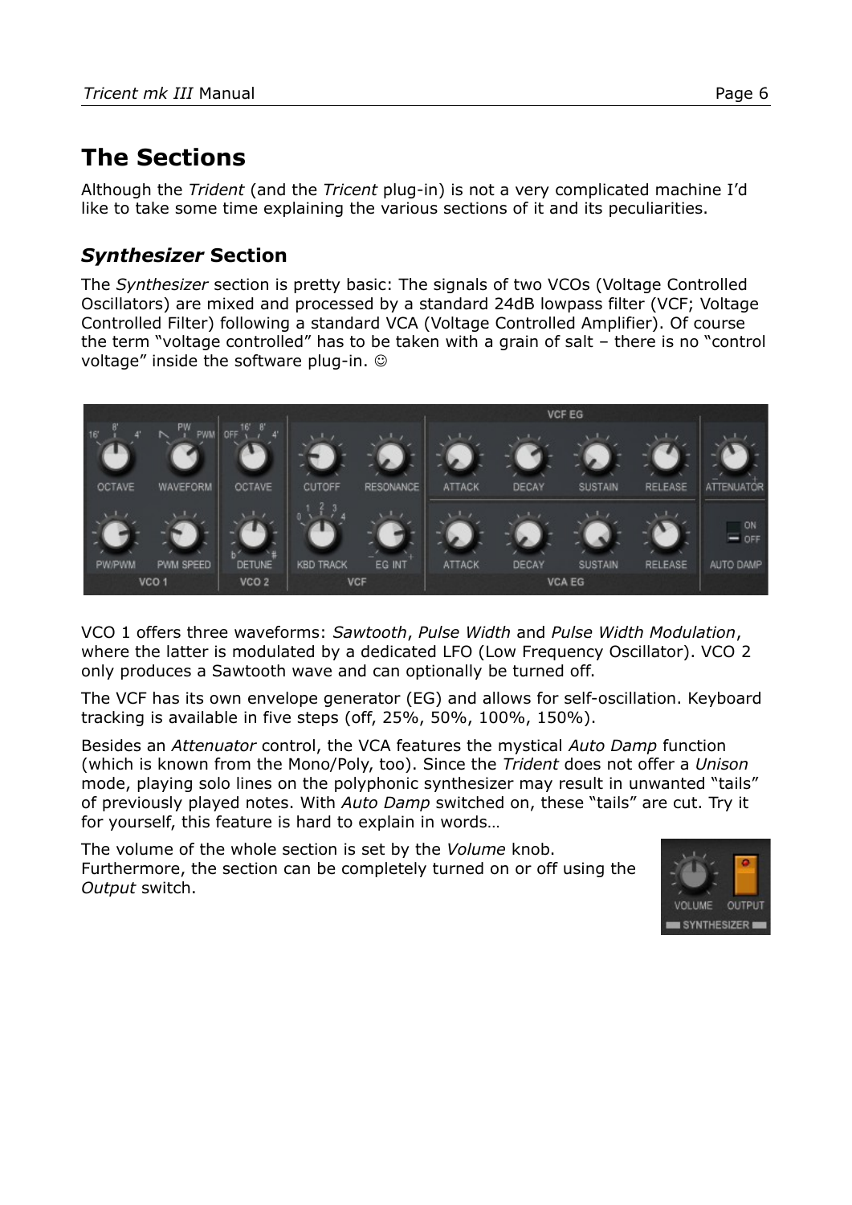# **The Sections**

Although the *Trident* (and the *Tricent* plug-in) is not a very complicated machine I'd like to take some time explaining the various sections of it and its peculiarities.

#### *Synthesizer* **Section**

The *Synthesizer* section is pretty basic: The signals of two VCOs (Voltage Controlled Oscillators) are mixed and processed by a standard 24dB lowpass filter (VCF; Voltage Controlled Filter) following a standard VCA (Voltage Controlled Amplifier). Of course the term "voltage controlled" has to be taken with a grain of salt – there is no "control voltage" inside the software plug-in.



VCO 1 offers three waveforms: *Sawtooth*, *Pulse Width* and *Pulse Width Modulation*, where the latter is modulated by a dedicated LFO (Low Frequency Oscillator). VCO 2 only produces a Sawtooth wave and can optionally be turned off.

The VCF has its own envelope generator (EG) and allows for self-oscillation. Keyboard tracking is available in five steps (off, 25%, 50%, 100%, 150%).

Besides an *Attenuator* control, the VCA features the mystical *Auto Damp* function (which is known from the Mono/Poly, too). Since the *Trident* does not offer a *Unison* mode, playing solo lines on the polyphonic synthesizer may result in unwanted "tails" of previously played notes. With *Auto Damp* switched on, these "tails" are cut. Try it for yourself, this feature is hard to explain in words…

The volume of the whole section is set by the *Volume* knob. Furthermore, the section can be completely turned on or off using the *Output* switch.

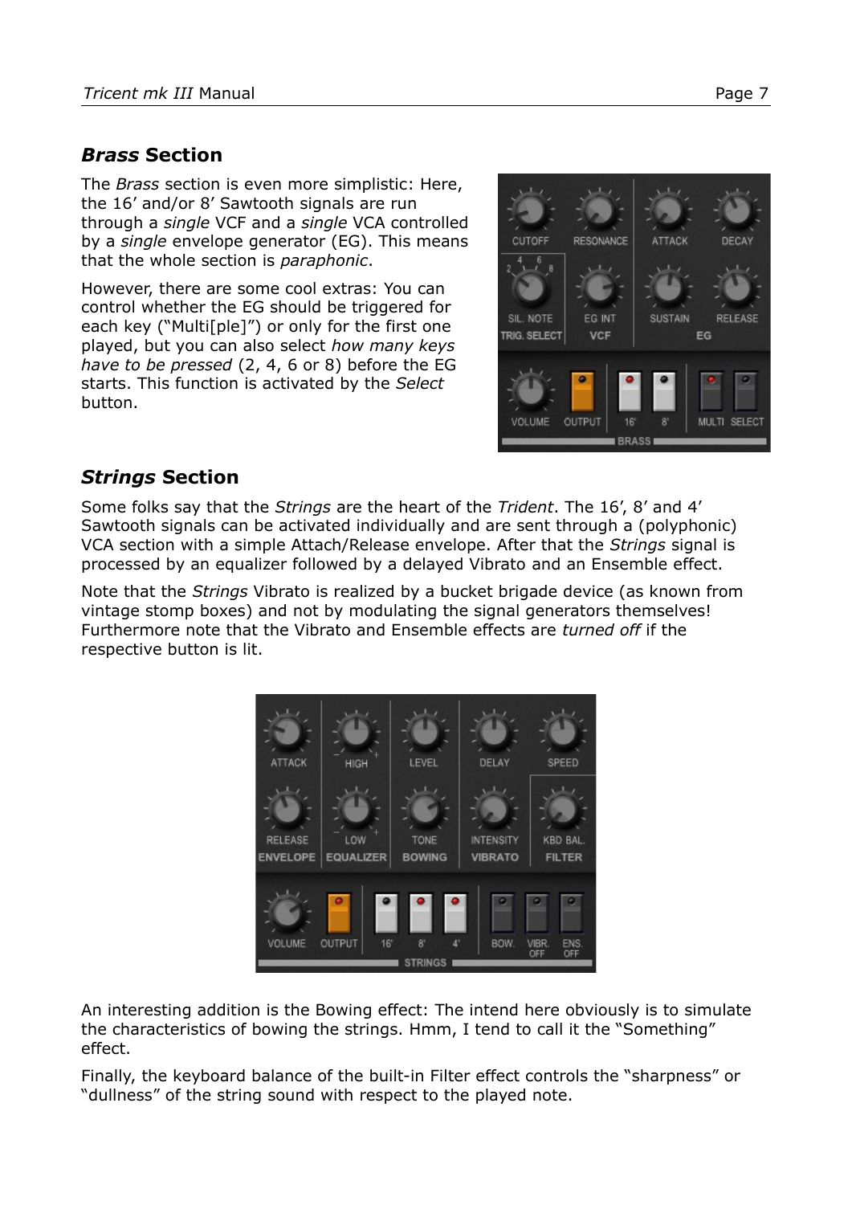#### *Brass* **Section**

The *Brass* section is even more simplistic: Here, the 16' and/or 8' Sawtooth signals are run through a *single* VCF and a *single* VCA controlled by a *single* envelope generator (EG). This means that the whole section is *paraphonic*.

However, there are some cool extras: You can control whether the EG should be triggered for each key ("Multi[ple]") or only for the first one played, but you can also select *how many keys have to be pressed* (2, 4, 6 or 8) before the EG starts. This function is activated by the *Select* button.



#### *Strings* **Section**

Some folks say that the *Strings* are the heart of the *Trident*. The 16', 8' and 4' Sawtooth signals can be activated individually and are sent through a (polyphonic) VCA section with a simple Attach/Release envelope. After that the *Strings* signal is processed by an equalizer followed by a delayed Vibrato and an Ensemble effect.

Note that the *Strings* Vibrato is realized by a bucket brigade device (as known from vintage stomp boxes) and not by modulating the signal generators themselves! Furthermore note that the Vibrato and Ensemble effects are *turned off* if the respective button is lit.



An interesting addition is the Bowing effect: The intend here obviously is to simulate the characteristics of bowing the strings. Hmm, I tend to call it the "Something" effect.

Finally, the keyboard balance of the built-in Filter effect controls the "sharpness" or "dullness" of the string sound with respect to the played note.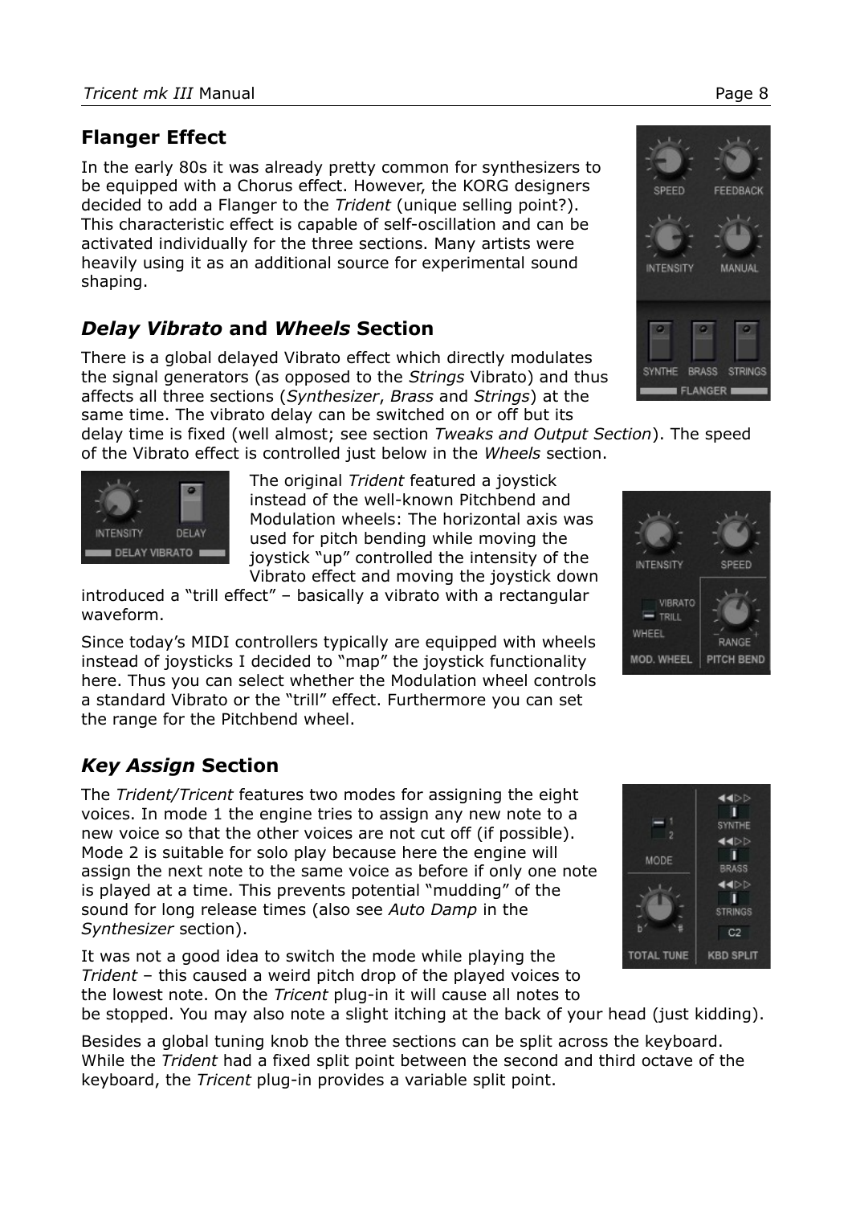#### **Flanger Effect**

In the early 80s it was already pretty common for synthesizers to be equipped with a Chorus effect. However, the KORG designers decided to add a Flanger to the *Trident* (unique selling point?). This characteristic effect is capable of self-oscillation and can be activated individually for the three sections. Many artists were heavily using it as an additional source for experimental sound shaping.

## *Delay Vibrato* **and** *Wheels* **Section**

There is a global delayed Vibrato effect which directly modulates the signal generators (as opposed to the *Strings* Vibrato) and thus affects all three sections (*Synthesizer*, *Brass* and *Strings*) at the same time. The vibrato delay can be switched on or off but its

delay time is fixed (well almost; see section *[Tweaks and Output Section](#page-8-0)*). The speed of the Vibrato effect is controlled just below in the *Wheels* section.

> The original *Trident* featured a joystick instead of the well-known Pitchbend and Modulation wheels: The horizontal axis was used for pitch bending while moving the joystick "up" controlled the intensity of the Vibrato effect and moving the joystick down

introduced a "trill effect" – basically a vibrato with a rectangular waveform.

Since today's MIDI controllers typically are equipped with wheels instead of joysticks I decided to "map" the joystick functionality here. Thus you can select whether the Modulation wheel controls a standard Vibrato or the "trill" effect. Furthermore you can set the range for the Pitchbend wheel.

## *Key Assign* **Section**

۰

DELAY

DELAY VIBRATO

**INTENSITY** 

The *Trident/Tricent* features two modes for assigning the eight voices. In mode 1 the engine tries to assign any new note to a new voice so that the other voices are not cut off (if possible). Mode 2 is suitable for solo play because here the engine will assign the next note to the same voice as before if only one note is played at a time. This prevents potential "mudding" of the sound for long release times (also see *Auto Damp* in the *Synthesizer* section).

It was not a good idea to switch the mode while playing the *Trident* – this caused a weird pitch drop of the played voices to the lowest note. On the *Tricent* plug-in it will cause all notes to

be stopped. You may also note a slight itching at the back of your head (just kidding).

Besides a global tuning knob the three sections can be split across the keyboard. While the *Trident* had a fixed split point between the second and third octave of the keyboard, the *Tricent* plug-in provides a variable split point.





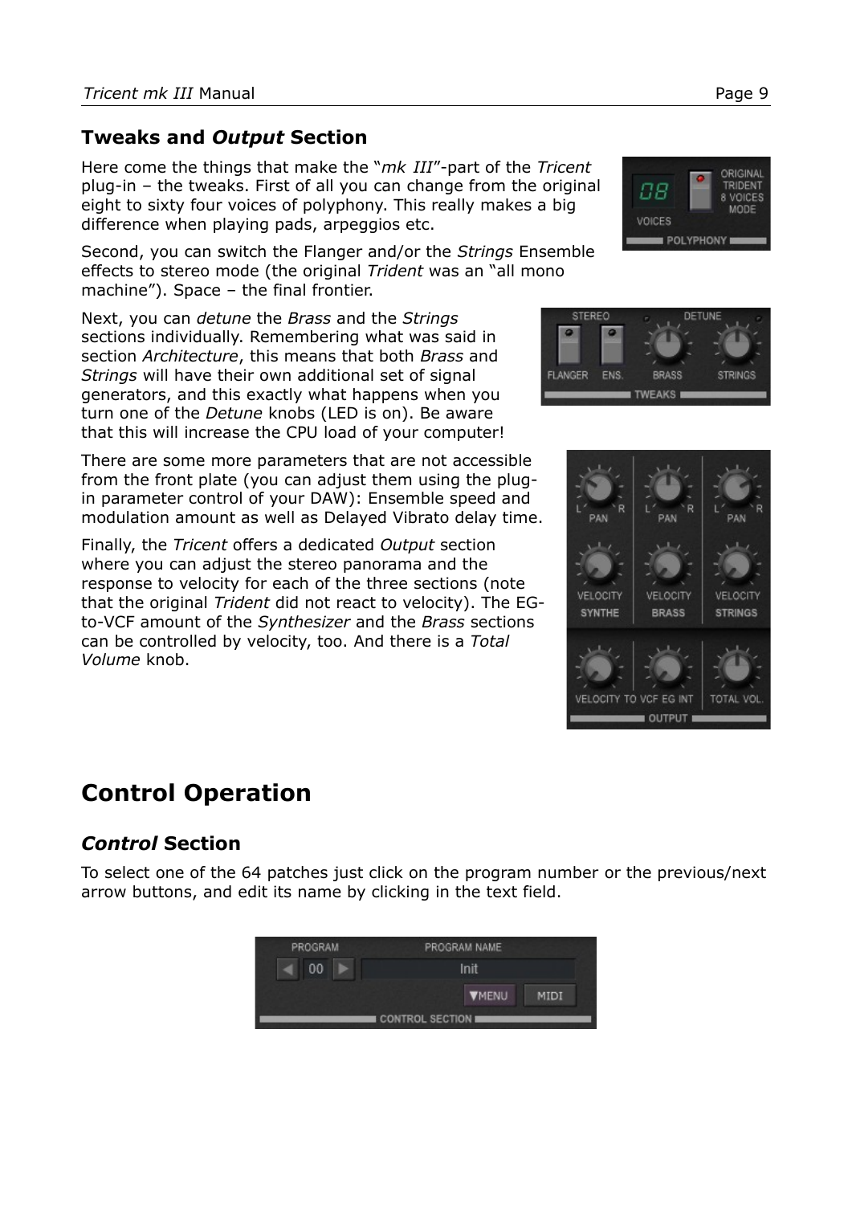#### <span id="page-8-0"></span>**Tweaks and** *Output* **Section**

Here come the things that make the "*mk III*"-part of the *Tricent* plug-in – the tweaks. First of all you can change from the original eight to sixty four voices of polyphony. This really makes a big difference when playing pads, arpeggios etc.

Second, you can switch the Flanger and/or the *Strings* Ensemble effects to stereo mode (the original *Trident* was an "all mono machine"). Space – the final frontier.

Next, you can *detune* the *Brass* and the *Strings*  sections individually. Remembering what was said in section *[Architecture](#page-4-0)*, this means that both *Brass* and *Strings* will have their own additional set of signal generators, and this exactly what happens when you turn one of the *Detune* knobs (LED is on). Be aware that this will increase the CPU load of your computer!

There are some more parameters that are not accessible from the front plate (you can adjust them using the plugin parameter control of your DAW): Ensemble speed and modulation amount as well as Delayed Vibrato delay time.

Finally, the *Tricent* offers a dedicated *Output* section where you can adjust the stereo panorama and the response to velocity for each of the three sections (note that the original *Trident* did not react to velocity). The EGto-VCF amount of the *Synthesizer* and the *Brass* sections can be controlled by velocity, too. And there is a *Total Volume* knob.

## **Control Operation**

## *Control* **Section**

To select one of the 64 patches just click on the program number or the previous/next arrow buttons, and edit its name by clicking in the text field.







88

VOICES





ORIGINAL TRIDENT

VOICES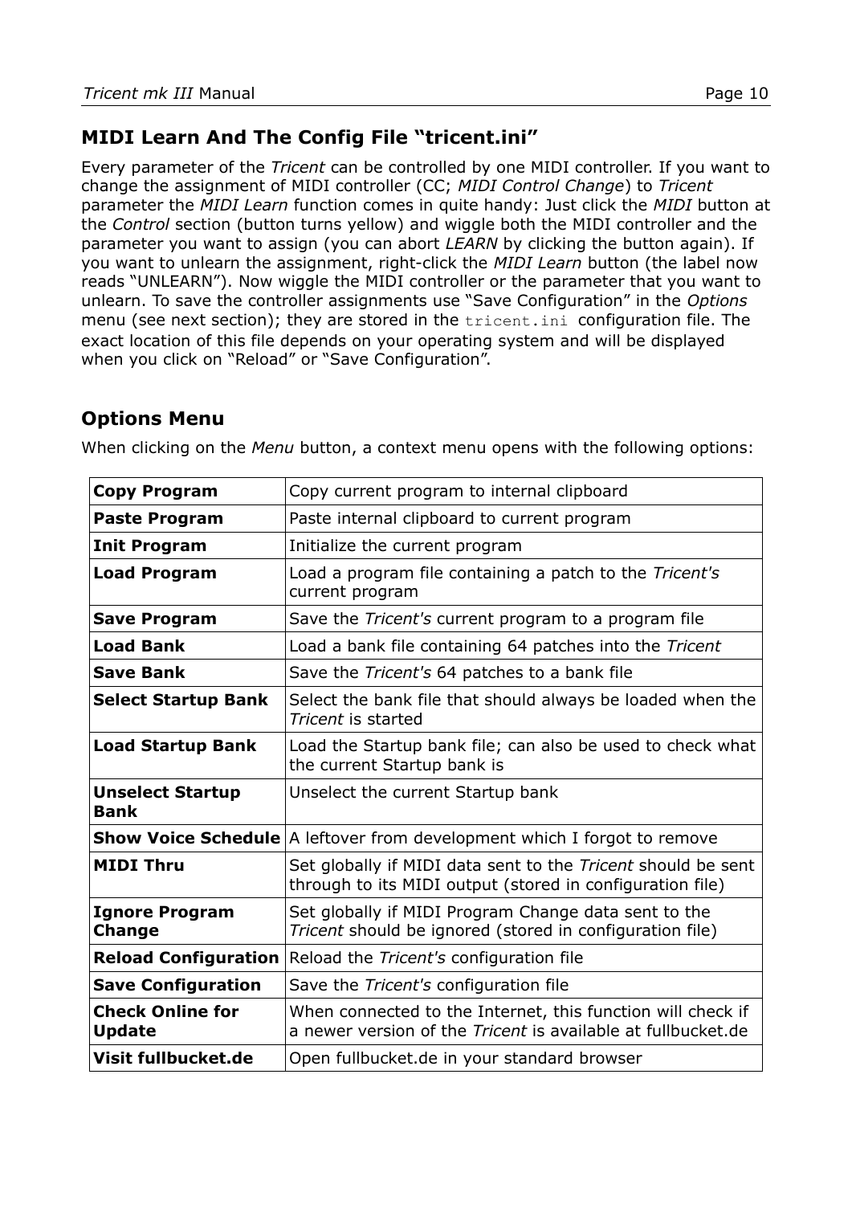#### **MIDI Learn And The Config File "tricent.ini"**

Every parameter of the *Tricent* can be controlled by one MIDI controller. If you want to change the assignment of MIDI controller (CC; *MIDI Control Change*) to *Tricent* parameter the *MIDI Learn* function comes in quite handy: Just click the *MIDI* button at the *Control* section (button turns yellow) and wiggle both the MIDI controller and the parameter you want to assign (you can abort *LEARN* by clicking the button again). If you want to unlearn the assignment, right-click the *MIDI Learn* button (the label now reads "UNLEARN"). Now wiggle the MIDI controller or the parameter that you want to unlearn. To save the controller assignments use "Save Configuration" in the *Options* menu (see next section); they are stored in the tricent.ini configuration file. The exact location of this file depends on your operating system and will be displayed when you click on "Reload" or "Save Configuration".

#### <span id="page-9-0"></span>**Options Menu**

When clicking on the *Menu* button, a context menu opens with the following options:

| <b>Copy Program</b>                      | Copy current program to internal clipboard                                                                                         |  |  |
|------------------------------------------|------------------------------------------------------------------------------------------------------------------------------------|--|--|
| <b>Paste Program</b>                     | Paste internal clipboard to current program                                                                                        |  |  |
| <b>Init Program</b>                      | Initialize the current program                                                                                                     |  |  |
| <b>Load Program</b>                      | Load a program file containing a patch to the Tricent's<br>current program                                                         |  |  |
| <b>Save Program</b>                      | Save the <i>Tricent's</i> current program to a program file                                                                        |  |  |
| <b>Load Bank</b>                         | Load a bank file containing 64 patches into the Tricent                                                                            |  |  |
| <b>Save Bank</b>                         | Save the Tricent's 64 patches to a bank file                                                                                       |  |  |
| <b>Select Startup Bank</b>               | Select the bank file that should always be loaded when the<br>Tricent is started                                                   |  |  |
| <b>Load Startup Bank</b>                 | Load the Startup bank file; can also be used to check what<br>the current Startup bank is                                          |  |  |
| <b>Unselect Startup</b><br><b>Bank</b>   | Unselect the current Startup bank                                                                                                  |  |  |
|                                          | <b>Show Voice Schedule</b> A leftover from development which I forgot to remove                                                    |  |  |
| <b>MIDI Thru</b>                         | Set globally if MIDI data sent to the Tricent should be sent<br>through to its MIDI output (stored in configuration file)          |  |  |
| <b>Ignore Program</b><br><b>Change</b>   | Set globally if MIDI Program Change data sent to the<br>Tricent should be ignored (stored in configuration file)                   |  |  |
| <b>Reload Configuration</b>              | Reload the Tricent's configuration file                                                                                            |  |  |
| <b>Save Configuration</b>                | Save the Tricent's configuration file                                                                                              |  |  |
| <b>Check Online for</b><br><b>Update</b> | When connected to the Internet, this function will check if<br>a newer version of the <i>Tricent</i> is available at fullbucket.de |  |  |
| Visit fullbucket.de                      | Open fullbucket.de in your standard browser                                                                                        |  |  |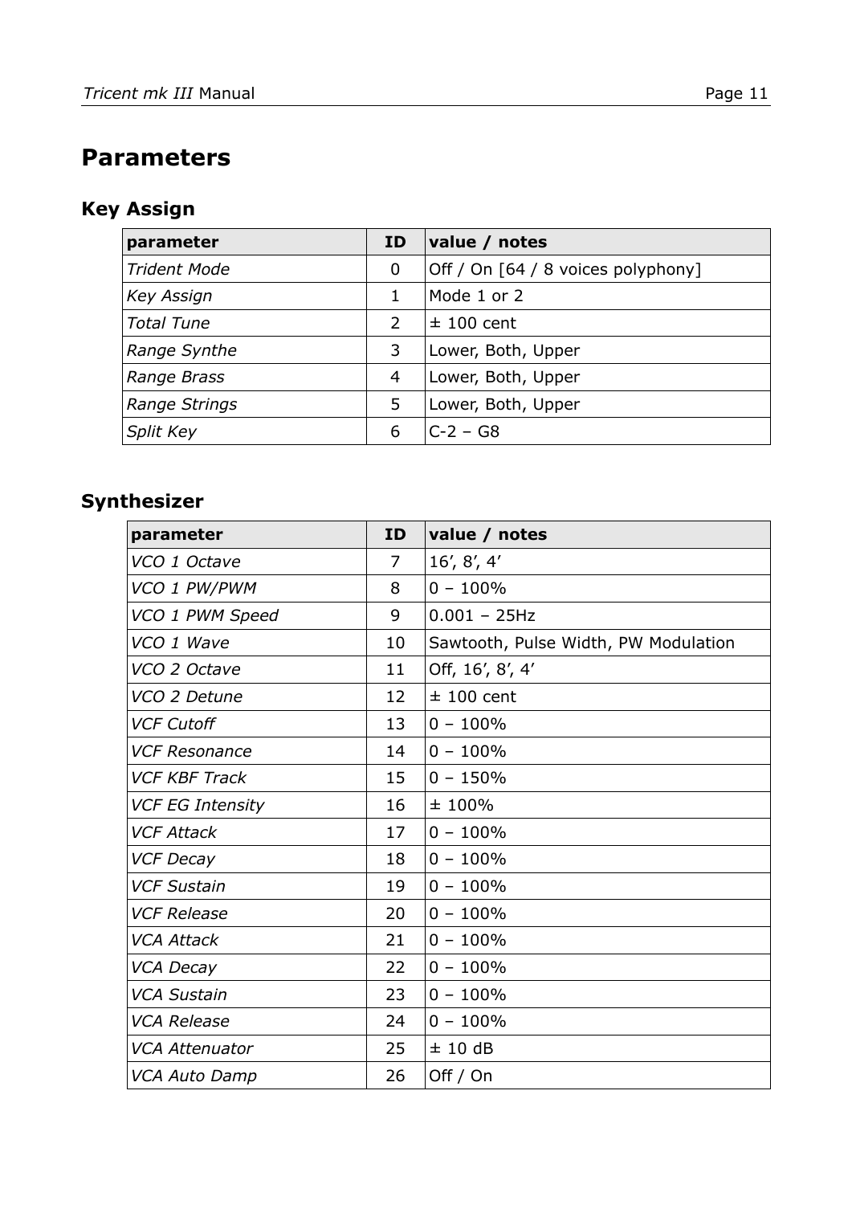# **Parameters**

## **Key Assign**

| parameter           | ID | value / notes                      |
|---------------------|----|------------------------------------|
| <b>Trident Mode</b> | 0  | Off / On [64 / 8 voices polyphony] |
| <b>Key Assign</b>   | 1  | Mode 1 or 2                        |
| <b>Total Tune</b>   | 2  | $±$ 100 cent                       |
| Range Synthe        | 3  | Lower, Both, Upper                 |
| Range Brass         | 4  | Lower, Both, Upper                 |
| Range Strings       | 5  | Lower, Both, Upper                 |
| Split Key           | 6  | $C-2 - G8$                         |

## **Synthesizer**

| parameter               | <b>ID</b>      | value / notes                        |
|-------------------------|----------------|--------------------------------------|
| VCO 1 Octave            | $\overline{7}$ | 16', $8'$ , $4'$                     |
| VCO 1 PW/PWM            | 8              | $0 - 100\%$                          |
| VCO 1 PWM Speed         | 9              | $0.001 - 25Hz$                       |
| VCO 1 Wave              | 10             | Sawtooth, Pulse Width, PW Modulation |
| VCO 2 Octave            | 11             | Off, 16', 8', 4'                     |
| VCO 2 Detune            | 12             | $±$ 100 cent                         |
| <b>VCF Cutoff</b>       | 13             | $0 - 100\%$                          |
| <b>VCF Resonance</b>    | 14             | $0 - 100\%$                          |
| <b>VCF KBF Track</b>    | 15             | $0 - 150%$                           |
| <b>VCF EG Intensity</b> | 16             | ±100%                                |
| <b>VCF Attack</b>       | 17             | $0 - 100\%$                          |
| <b>VCF Decay</b>        | 18             | $0 - 100\%$                          |
| <b>VCF Sustain</b>      | 19             | $0 - 100\%$                          |
| <b>VCF Release</b>      | 20             | $0 - 100\%$                          |
| <b>VCA Attack</b>       | 21             | $0 - 100\%$                          |
| VCA Decay               | 22             | $0 - 100\%$                          |
| <b>VCA Sustain</b>      | 23             | $0 - 100\%$                          |
| <b>VCA Release</b>      | 24             | $0 - 100\%$                          |
| <b>VCA Attenuator</b>   | 25             | ±10dB                                |
| <b>VCA Auto Damp</b>    | 26             | Off / On                             |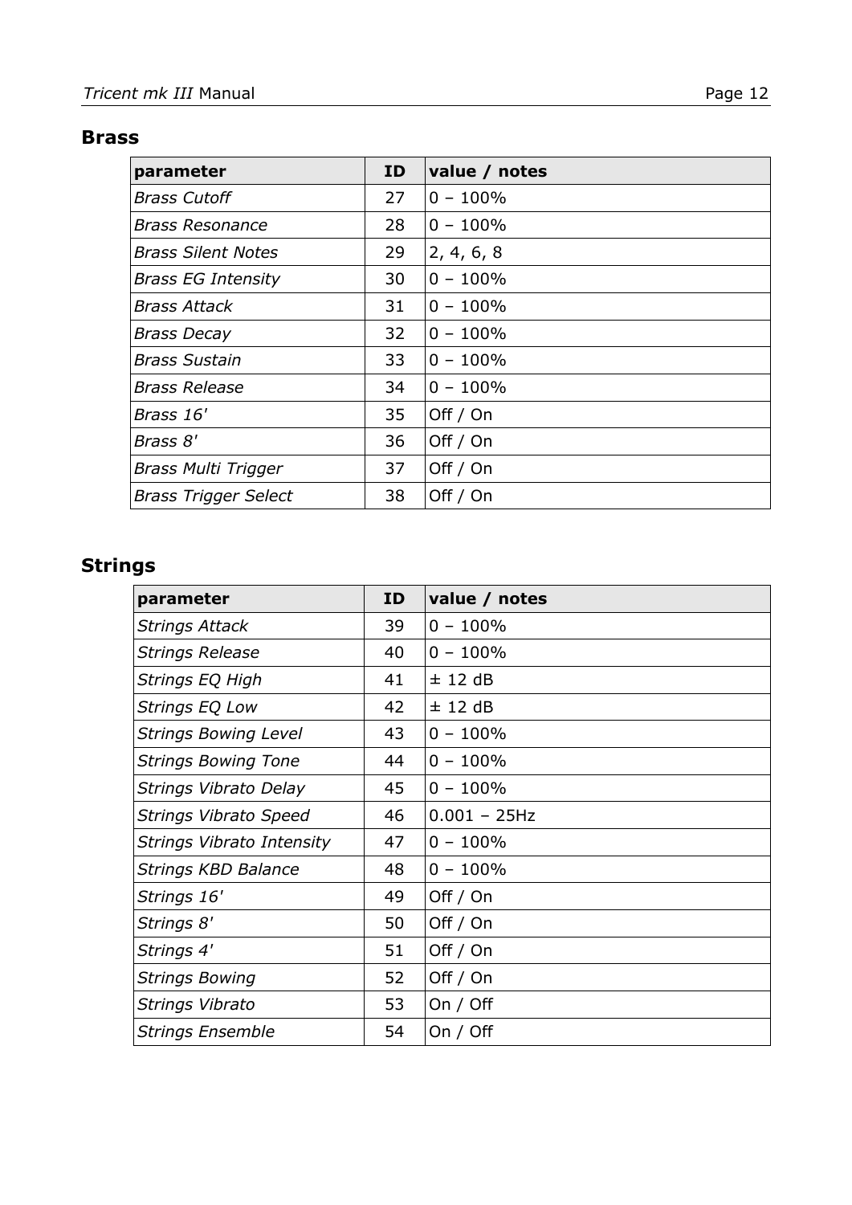#### **Brass**

| parameter                   | ID | value / notes |
|-----------------------------|----|---------------|
| <b>Brass Cutoff</b>         | 27 | $0 - 100\%$   |
| <b>Brass Resonance</b>      | 28 | $0 - 100\%$   |
| <b>Brass Silent Notes</b>   | 29 | 2, 4, 6, 8    |
| <b>Brass EG Intensity</b>   | 30 | $0 - 100\%$   |
| <b>Brass Attack</b>         | 31 | $0 - 100\%$   |
| <b>Brass Decay</b>          | 32 | $0 - 100\%$   |
| <b>Brass Sustain</b>        | 33 | $0 - 100\%$   |
| <b>Brass Release</b>        | 34 | $0 - 100\%$   |
| Brass 16'                   | 35 | Off / On      |
| Brass 8'                    | 36 | Off / On      |
| <b>Brass Multi Trigger</b>  | 37 | Off / On      |
| <b>Brass Trigger Select</b> | 38 | Off / On      |

## **Strings**

| parameter                    | ID | value / notes   |
|------------------------------|----|-----------------|
| <b>Strings Attack</b>        | 39 | $0 - 100\%$     |
| Strings Release              | 40 | $0 - 100\%$     |
| Strings EQ High              | 41 | $±$ 12 dB       |
| <b>Strings EQ Low</b>        | 42 | $±$ 12 dB       |
| <b>Strings Bowing Level</b>  | 43 | $0 - 100\%$     |
| <b>Strings Bowing Tone</b>   | 44 | $0 - 100\%$     |
| Strings Vibrato Delay        | 45 | $0 - 100\%$     |
| <b>Strings Vibrato Speed</b> | 46 | $0.001 - 25$ Hz |
| Strings Vibrato Intensity    | 47 | $0 - 100\%$     |
| Strings KBD Balance          | 48 | $0 - 100\%$     |
| Strings 16'                  | 49 | Off $/$ On      |
| Strings 8'                   | 50 | Off / On        |
| Strings 4'                   | 51 | Off / On        |
| <b>Strings Bowing</b>        | 52 | Off / On        |
| Strings Vibrato              | 53 | On $/$ Off      |
| <b>Strings Ensemble</b>      | 54 | On / Off        |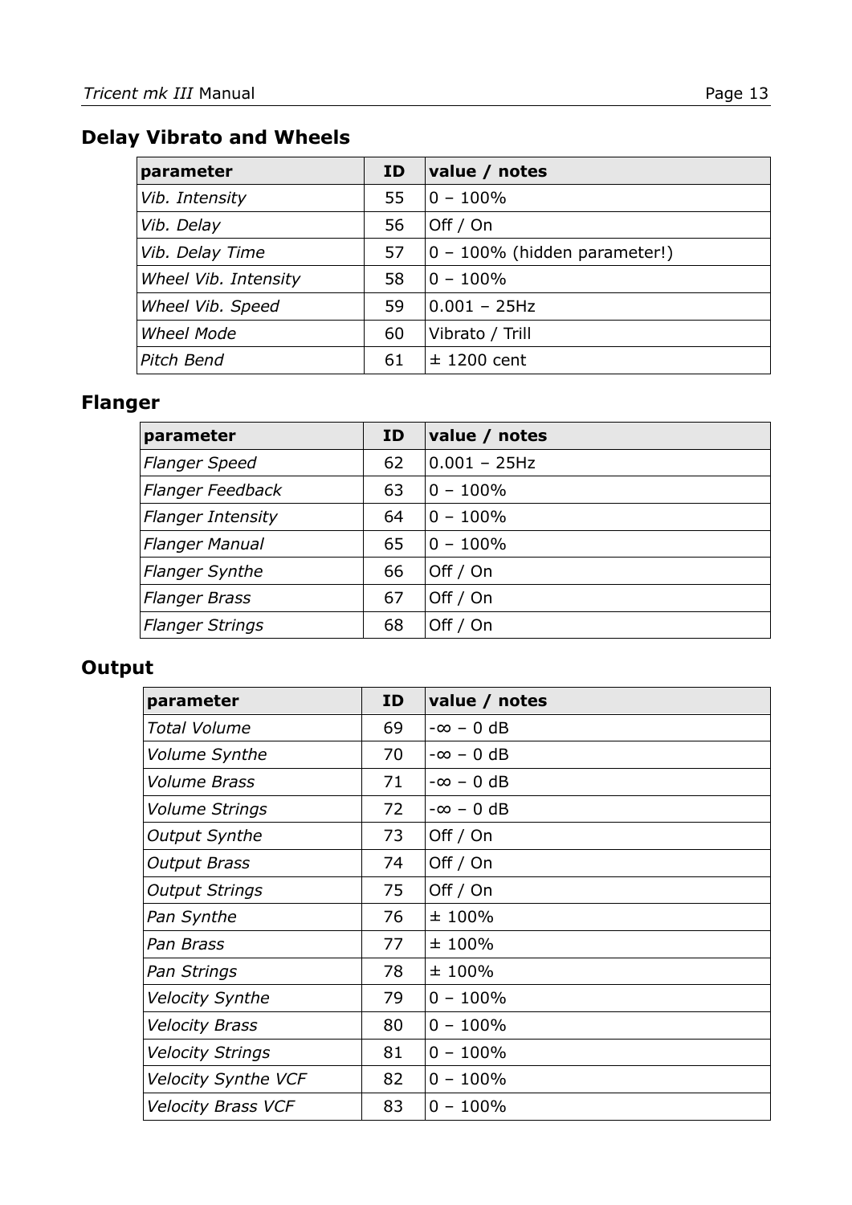## **Delay Vibrato and Wheels**

| parameter            | <b>ID</b> | value / notes                |
|----------------------|-----------|------------------------------|
| Vib. Intensity       | 55        | $0 - 100\%$                  |
| Vib. Delay           | 56        | Off / On                     |
| Vib. Delay Time      | 57        | 0 - 100% (hidden parameter!) |
| Wheel Vib. Intensity | 58        | $0 - 100\%$                  |
| Wheel Vib. Speed     | 59        | $0.001 - 25Hz$               |
| <b>Wheel Mode</b>    | 60        | Vibrato / Trill              |
| Pitch Bend           | 61        | $±$ 1200 cent                |

## **Flanger**

| parameter                | <b>ID</b> | value / notes  |
|--------------------------|-----------|----------------|
| <b>Flanger Speed</b>     | 62        | $0.001 - 25Hz$ |
| <b>Flanger Feedback</b>  | 63        | $0 - 100\%$    |
| <b>Flanger Intensity</b> | 64        | $0 - 100\%$    |
| <b>Flanger Manual</b>    | 65        | $0 - 100\%$    |
| <b>Flanger Synthe</b>    | 66        | Off / On       |
| <b>Flanger Brass</b>     | 67        | Off / On       |
| <b>Flanger Strings</b>   | 68        | Off / On       |

## **Output**

| parameter                  | ID | value / notes    |
|----------------------------|----|------------------|
| <b>Total Volume</b>        | 69 | $-\infty - 0$ dB |
| Volume Synthe              | 70 | $-\infty - 0$ dB |
| Volume Brass               | 71 | $-\infty - 0$ dB |
| <b>Volume Strings</b>      | 72 | $-\infty$ – 0 dB |
| <b>Output Synthe</b>       | 73 | Off / On         |
| <b>Output Brass</b>        | 74 | Off / On         |
| <b>Output Strings</b>      | 75 | Off / On         |
| Pan Synthe                 | 76 | ±100%            |
| Pan Brass                  | 77 | ±100%            |
| Pan Strings                | 78 | ±100%            |
| <b>Velocity Synthe</b>     | 79 | $0 - 100\%$      |
| <b>Velocity Brass</b>      | 80 | $0 - 100\%$      |
| <b>Velocity Strings</b>    | 81 | $0 - 100\%$      |
| <b>Velocity Synthe VCF</b> | 82 | $0 - 100\%$      |
| <b>Velocity Brass VCF</b>  | 83 | $0 - 100\%$      |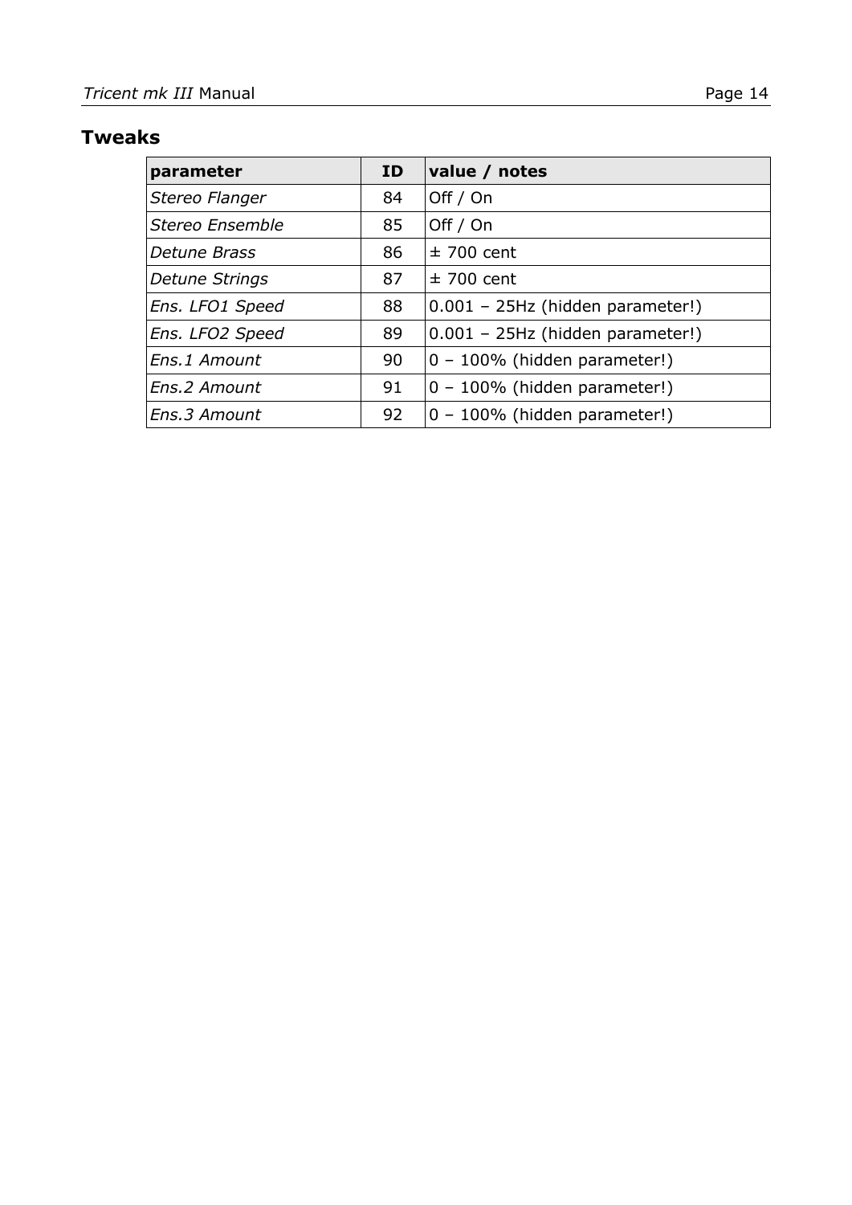## **Tweaks**

| parameter       | <b>ID</b> | value / notes                    |
|-----------------|-----------|----------------------------------|
| Stereo Flanger  | 84        | Off / On                         |
| Stereo Ensemble | 85        | Off / On                         |
| Detune Brass    | 86        | $±$ 700 cent                     |
| Detune Strings  | 87        | $±$ 700 cent                     |
| Ens. LFO1 Speed | 88        | 0.001 - 25Hz (hidden parameter!) |
| Ens. LFO2 Speed | 89        | 0.001 - 25Hz (hidden parameter!) |
| Ens.1 Amount    | 90        | $0 - 100\%$ (hidden parameter!)  |
| Ens.2 Amount    | 91        | 0 - 100% (hidden parameter!)     |
| Ens.3 Amount    | 92        | 0 - 100% (hidden parameter!)     |